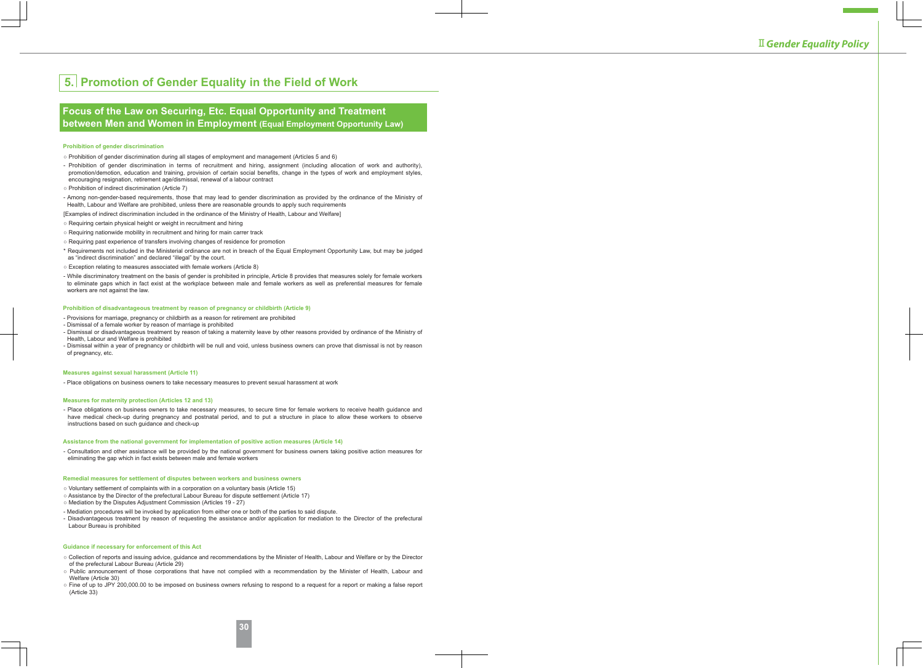# **5. Promotion of Gender Equality in the Field of Work**

# **Focus of the Law on Securing, Etc. Equal Opportunity and Treatment between Men and Women in Employment (Equal Employment Opportunity Law)**

### **Prohibition of gender discrimination**

- Prohibition of gender discrimination during all stages of employment and management (Articles 5 and 6)
- Prohibition of gender discrimination in terms of recruitment and hiring, assignment (including allocation of work and authority), promotion/demotion, education and training, provision of certain social benefits, change in the types of work and employment styles, encouraging resignation, retirement age/dismissal, renewal of a labour contract
- Prohibition of indirect discrimination (Article 7)
- Among non-gender-based requirements, those that may lead to gender discrimination as provided by the ordinance of the Ministry of Health, Labour and Welfare are prohibited, unless there are reasonable grounds to apply such requirements

[Examples of indirect discrimination included in the ordinance of the Ministry of Health, Labour and Welfare]

- Requiring certain physical height or weight in recruitment and hiring
- Requiring nationwide mobility in recruitment and hiring for main carrer track
- Requiring past experience of transfers involving changes of residence for promotion
- \* Requirements not included in the Ministerial ordinance are not in breach of the Equal Employment Opportunity Law, but may be judged as "indirect discrimination" and declared "illegal" by the court.
- Exception relating to measures associated with female workers (Article 8)
- While discriminatory treatment on the basis of gender is prohibited in principle, Article 8 provides that measures solely for female workers to eliminate gaps which in fact exist at the workplace between male and female workers as well as preferential measures for female workers are not against the law.

#### **Prohibition of disadvantageous treatment by reason of pregnancy or childbirth (Article 9)**

- Provisions for marriage, pregnancy or childbirth as a reason for retirement are prohibited
- Dismissal of a female worker by reason of marriage is prohibited
- Dismissal or disadvantageous treatment by reason of taking a maternity leave by other reasons provided by ordinance of the Ministry of Health, Labour and Welfare is prohibited
- Dismissal within a year of pregnancy or childbirth will be null and void, unless business owners can prove that dismissal is not by reason of pregnancy, etc.

### **Measures against sexual harassment (Article 11)**

- Place obligations on business owners to take necessary measures to prevent sexual harassment at work

#### **Measures for maternity protection (Articles 12 and 13)**

- Place obligations on business owners to take necessary measures, to secure time for female workers to receive health guidance and have medical check-up during pregnancy and postnatal period, and to put a structure in place to allow these workers to observe instructions based on such guidance and check-up

### **Assistance from the national government for implementation of positive action measures (Article 14)**

- Consultation and other assistance will be provided by the national government for business owners taking positive action measures for eliminating the gap which in fact exists between male and female workers

#### **Remedial measures for settlement of disputes between workers and business owners**

- Voluntary settlement of complaints with in a corporation on a voluntary basis (Article 15)
- Assistance by the Director of the prefectural Labour Bureau for dispute settlement (Article 17)
- Mediation by the Disputes Adjustment Commission (Articles 19 27)
- Mediation procedures will be invoked by application from either one or both of the parties to said dispute.
- Disadvantageous treatment by reason of requesting the assistance and/or application for mediation to the Director of the prefectural Labour Bureau is prohibited

### **Guidance if necessary for enforcement of this Act**

- Collection of reports and issuing advice, guidance and recommendations by the Minister of Health, Labour and Welfare or by the Director of the prefectural Labour Bureau (Article 29)
- Public announcement of those corporations that have not complied with a recommendation by the Minister of Health, Labour and Welfare (Article 30)
- Fine of up to JPY 200,000.00 to be imposed on business owners refusing to respond to a request for a report or making a false report (Article 33)